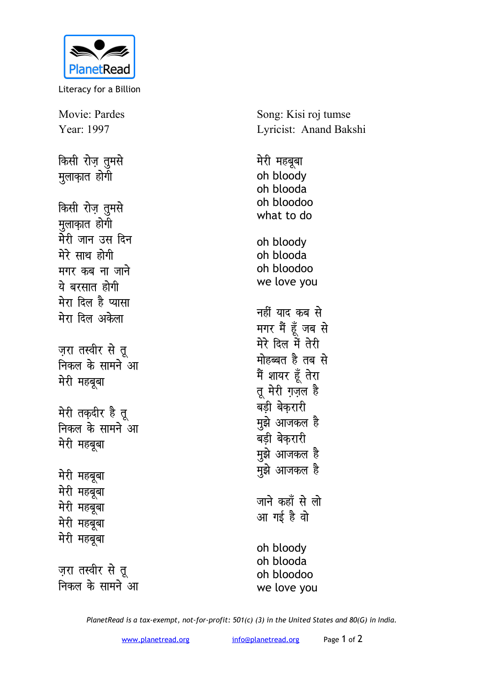

Literacy for a Billion

Movie: Pardes Year: 1997

किसी रोज़ तुमसे मुलाकात होगी

किसी रोज़ तुमसे मुलाकात होगी मेरी जान उस दिन मेरे साथ होगी मगर कब ना जाने ये बरसात होगी मेरा दिल है प्यासा मेरा दिल अकेला ज़रा तस्वीर से तू

निकल के सामने आ मेरी महबूबा

मेरी तक़दीर है तू निकल के सामने आ मेरी महबूबा

मेरी महबूबा मेरी महबूबा मेरी महबूबा मेरी महबूबा मेरी महबूबा

ज़रा तस्वीर से तू निकल के सामने आ Song: Kisi roj tumse Lyricist: Anand Bakshi

मेरी महबूबा oh bloodv oh blooda oh bloodoo what to do oh bloody oh blooda oh bloodoo we love you नहीं याद कब से मगर मैं हूँ जब से मेरे दिल में तेरी मोहब्बत है तब से मैं शायर हूँ तेरा तू मेरी ग़ज़ल है बडी बेकरारी मुझे आजकल है बड़ी बेकरारी मुझे आजकल है मुझे आजकल है जाने कहाँ से लो आ गई है वो oh bloody oh blooda oh bloodoo we love you

PlanetRead is a tax-exempt, not-for-profit: 501(c) (3) in the United States and 80(G) in India.